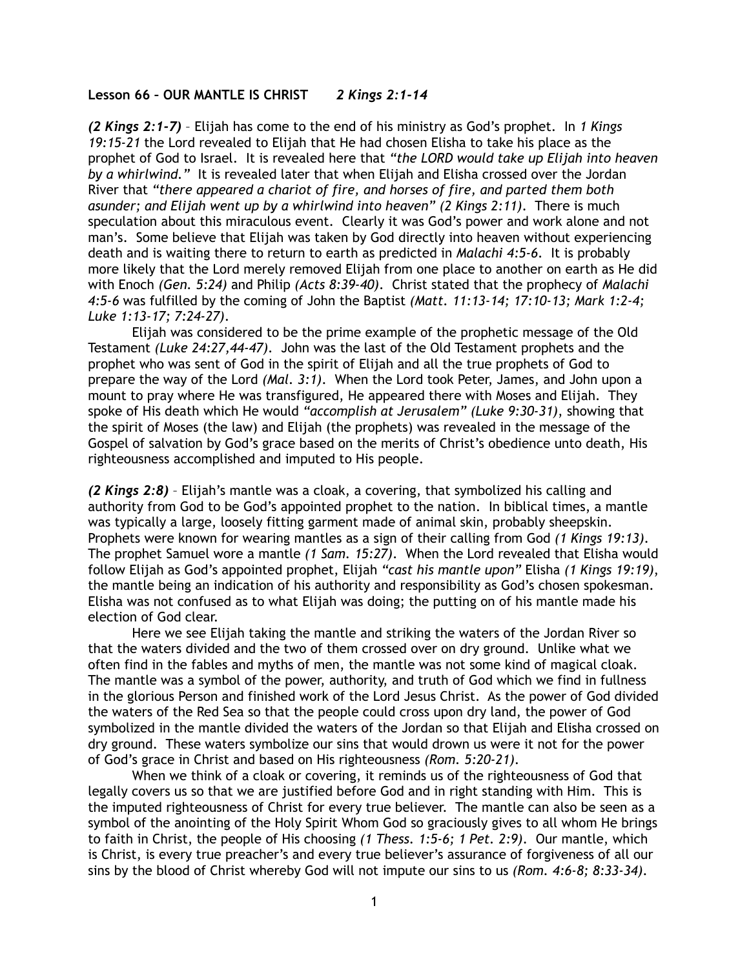## **Lesson 66 – OUR MANTLE IS CHRIST** *2 Kings 2:1-14*

*(2 Kings 2:1-7)* – Elijah has come to the end of his ministry as God's prophet. In *1 Kings 19:15-21* the Lord revealed to Elijah that He had chosen Elisha to take his place as the prophet of God to Israel. It is revealed here that *"the LORD would take up Elijah into heaven by a whirlwind."* It is revealed later that when Elijah and Elisha crossed over the Jordan River that *"there appeared a chariot of fire, and horses of fire, and parted them both asunder; and Elijah went up by a whirlwind into heaven" (2 Kings 2:11)*. There is much speculation about this miraculous event. Clearly it was God's power and work alone and not man's. Some believe that Elijah was taken by God directly into heaven without experiencing death and is waiting there to return to earth as predicted in *Malachi 4:5-6*. It is probably more likely that the Lord merely removed Elijah from one place to another on earth as He did with Enoch *(Gen. 5:24)* and Philip *(Acts 8:39-40)*. Christ stated that the prophecy of *Malachi 4:5-6* was fulfilled by the coming of John the Baptist *(Matt. 11:13-14; 17:10-13; Mark 1:2-4; Luke 1:13-17; 7:24-27)*.

Elijah was considered to be the prime example of the prophetic message of the Old Testament *(Luke 24:27,44-47)*. John was the last of the Old Testament prophets and the prophet who was sent of God in the spirit of Elijah and all the true prophets of God to prepare the way of the Lord *(Mal. 3:1)*. When the Lord took Peter, James, and John upon a mount to pray where He was transfigured, He appeared there with Moses and Elijah. They spoke of His death which He would *"accomplish at Jerusalem" (Luke 9:30-31)*, showing that the spirit of Moses (the law) and Elijah (the prophets) was revealed in the message of the Gospel of salvation by God's grace based on the merits of Christ's obedience unto death, His righteousness accomplished and imputed to His people.

*(2 Kings 2:8)* – Elijah's mantle was a cloak, a covering, that symbolized his calling and authority from God to be God's appointed prophet to the nation. In biblical times, a mantle was typically a large, loosely fitting garment made of animal skin, probably sheepskin. Prophets were known for wearing mantles as a sign of their calling from God *(1 Kings 19:13)*. The prophet Samuel wore a mantle *(1 Sam. 15:27)*. When the Lord revealed that Elisha would follow Elijah as God's appointed prophet, Elijah *"cast his mantle upon"* Elisha *(1 Kings 19:19)*, the mantle being an indication of his authority and responsibility as God's chosen spokesman. Elisha was not confused as to what Elijah was doing; the putting on of his mantle made his election of God clear.

 Here we see Elijah taking the mantle and striking the waters of the Jordan River so that the waters divided and the two of them crossed over on dry ground. Unlike what we often find in the fables and myths of men, the mantle was not some kind of magical cloak. The mantle was a symbol of the power, authority, and truth of God which we find in fullness in the glorious Person and finished work of the Lord Jesus Christ. As the power of God divided the waters of the Red Sea so that the people could cross upon dry land, the power of God symbolized in the mantle divided the waters of the Jordan so that Elijah and Elisha crossed on dry ground. These waters symbolize our sins that would drown us were it not for the power of God's grace in Christ and based on His righteousness *(Rom. 5:20-21)*.

When we think of a cloak or covering, it reminds us of the righteousness of God that legally covers us so that we are justified before God and in right standing with Him. This is the imputed righteousness of Christ for every true believer. The mantle can also be seen as a symbol of the anointing of the Holy Spirit Whom God so graciously gives to all whom He brings to faith in Christ, the people of His choosing *(1 Thess. 1:5-6; 1 Pet. 2:9)*. Our mantle, which is Christ, is every true preacher's and every true believer's assurance of forgiveness of all our sins by the blood of Christ whereby God will not impute our sins to us *(Rom. 4:6-8; 8:33-34)*.